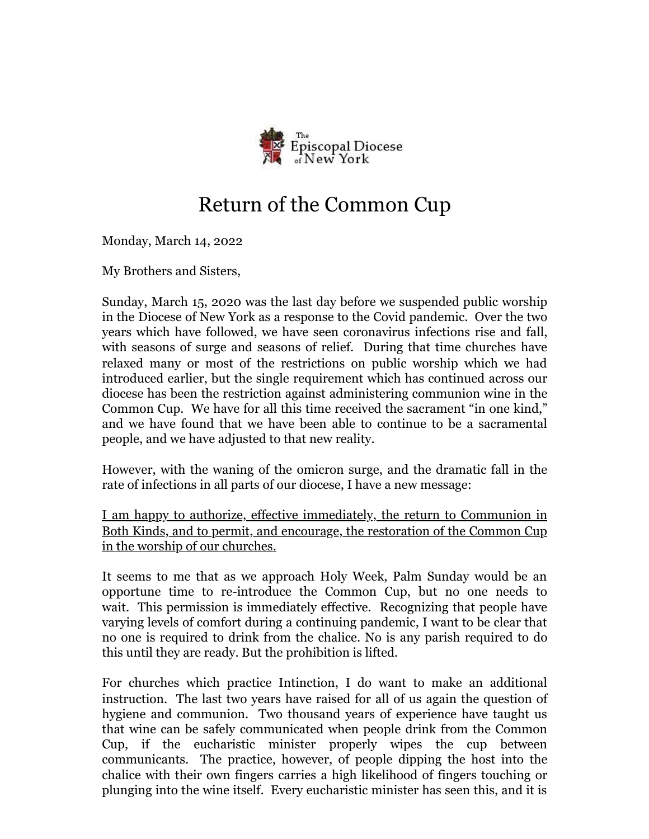

## Return of the Common Cup

Monday, March 14, 2022

My Brothers and Sisters,

Sunday, March 15, 2020 was the last day before we suspended public worship in the Diocese of New York as a response to the Covid pandemic. Over the two years which have followed, we have seen coronavirus infections rise and fall, with seasons of surge and seasons of relief. During that time churches have relaxed many or most of the restrictions on public worship which we had introduced earlier, but the single requirement which has continued across our diocese has been the restriction against administering communion wine in the Common Cup. We have for all this time received the sacrament "in one kind," and we have found that we have been able to continue to be a sacramental people, and we have adjusted to that new reality.

However, with the waning of the omicron surge, and the dramatic fall in the rate of infections in all parts of our diocese, I have a new message:

I am happy to authorize, effective immediately, the return to Communion in Both Kinds, and to permit, and encourage, the restoration of the Common Cup in the worship of our churches.

It seems to me that as we approach Holy Week, Palm Sunday would be an opportune time to re-introduce the Common Cup, but no one needs to wait. This permission is immediately effective. Recognizing that people have varying levels of comfort during a continuing pandemic, I want to be clear that no one is required to drink from the chalice. No is any parish required to do this until they are ready. But the prohibition is lifted.

For churches which practice Intinction, I do want to make an additional instruction. The last two years have raised for all of us again the question of hygiene and communion. Two thousand years of experience have taught us that wine can be safely communicated when people drink from the Common Cup, if the eucharistic minister properly wipes the cup between communicants. The practice, however, of people dipping the host into the chalice with their own fingers carries a high likelihood of fingers touching or plunging into the wine itself. Every eucharistic minister has seen this, and it is